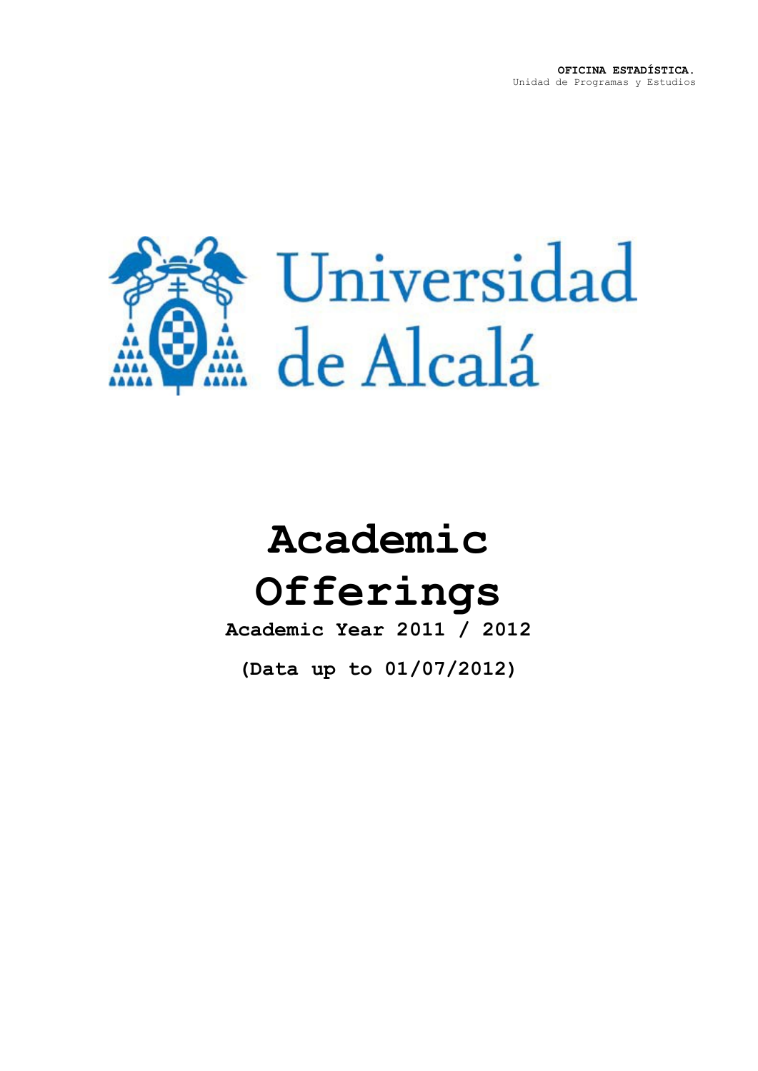

# **Academic Offerings**

**Academic Year 2011 / 2012**

**(Data up to 01/07/2012)**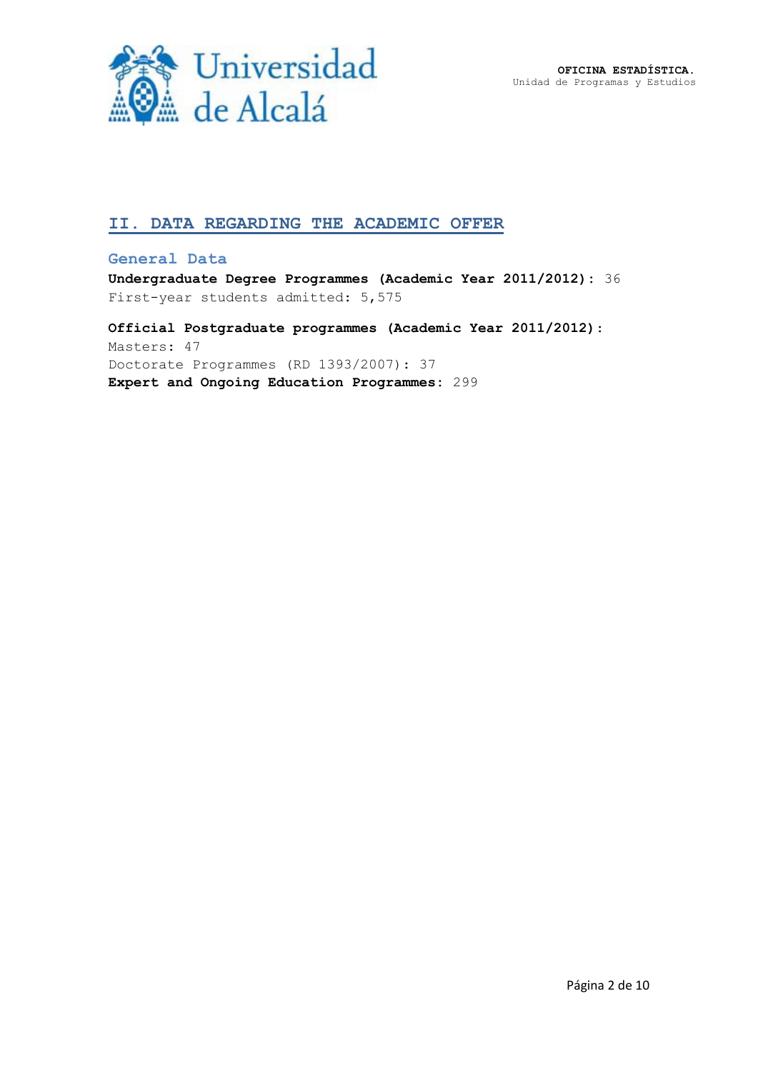**OFICINA ESTADÍSTICA.** Unidad de Programas y Estudios



## **II. DATA REGARDING THE ACADEMIC OFFER**

#### **General Data**

**Undergraduate Degree Programmes (Academic Year 2011/2012):** 36 First-year students admitted: 5,575

**Official Postgraduate programmes (Academic Year 2011/2012)**: Masters: 47 Doctorate Programmes (RD 1393/2007): 37 **Expert and Ongoing Education Programmes:** 299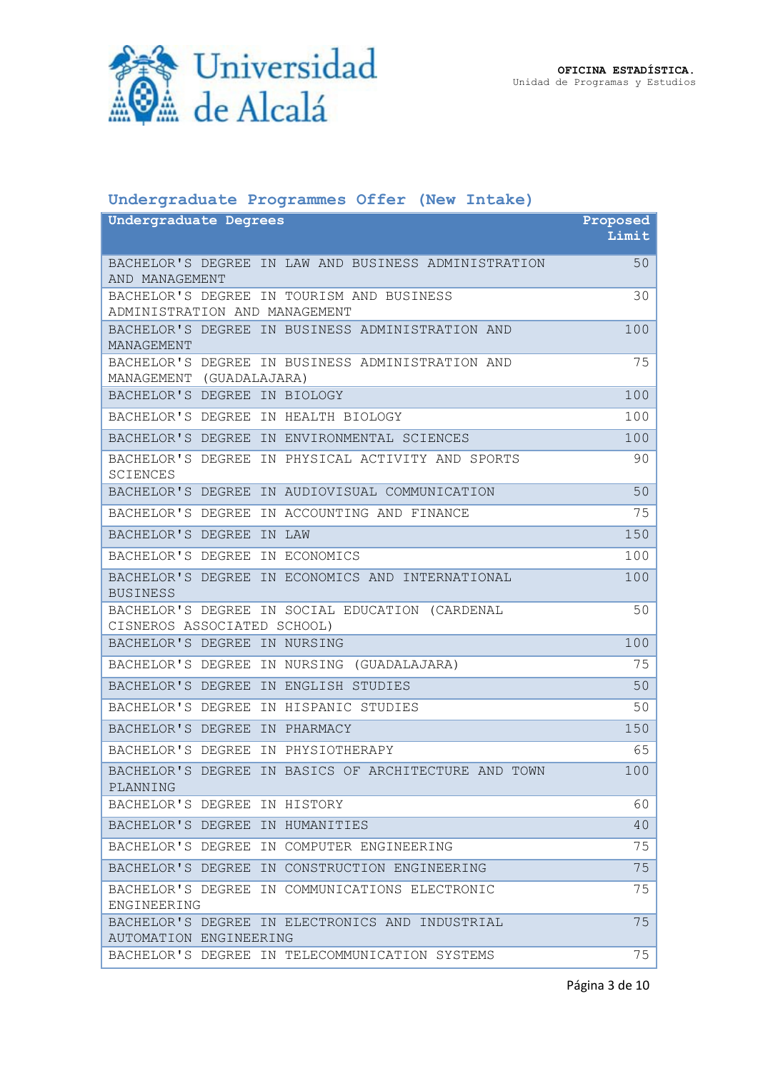

## **Undergraduate Programmes Offer (New Intake)**

| <b>Undergraduate Degrees</b>                                                   | Proposed |
|--------------------------------------------------------------------------------|----------|
|                                                                                | Limit    |
| BACHELOR'S DEGREE IN LAW AND BUSINESS ADMINISTRATION<br>AND MANAGEMENT         | 50       |
| BACHELOR'S DEGREE IN TOURISM AND BUSINESS<br>ADMINISTRATION AND MANAGEMENT     | 30       |
| BACHELOR'S DEGREE IN BUSINESS ADMINISTRATION AND<br>MANAGEMENT                 | 100      |
| BACHELOR'S DEGREE IN BUSINESS ADMINISTRATION AND<br>MANAGEMENT (GUADALAJARA)   | 75       |
| BACHELOR'S DEGREE IN BIOLOGY                                                   | 100      |
| BACHELOR'S DEGREE IN HEALTH BIOLOGY                                            | 100      |
| BACHELOR'S DEGREE IN ENVIRONMENTAL SCIENCES                                    | 100      |
| BACHELOR'S DEGREE IN PHYSICAL ACTIVITY AND SPORTS<br><b>SCIENCES</b>           | 90       |
| BACHELOR'S DEGREE IN AUDIOVISUAL COMMUNICATION                                 | 50       |
| BACHELOR'S DEGREE IN ACCOUNTING AND FINANCE                                    | 75       |
| BACHELOR'S DEGREE<br>IN LAW                                                    | 150      |
| BACHELOR'S DEGREE IN ECONOMICS                                                 | 100      |
| BACHELOR'S DEGREE IN ECONOMICS AND INTERNATIONAL<br><b>BUSINESS</b>            | 100      |
| BACHELOR'S DEGREE IN SOCIAL EDUCATION (CARDENAL<br>CISNEROS ASSOCIATED SCHOOL) | 50       |
| BACHELOR'S DEGREE IN NURSING                                                   | 100      |
| BACHELOR'S DEGREE IN NURSING (GUADALAJARA)                                     | 75       |
| BACHELOR'S DEGREE IN ENGLISH STUDIES                                           | 50       |
| BACHELOR'S DEGREE IN HISPANIC STUDIES                                          | 50       |
| BACHELOR'S DEGREE IN PHARMACY                                                  | 150      |
| BACHELOR'S DEGREE IN PHYSIOTHERAPY                                             | 65       |
| BACHELOR'S DEGREE IN BASICS OF ARCHITECTURE AND TOWN<br>PLANNING               | 100      |
| BACHELOR'S DEGREE IN HISTORY                                                   | 60       |
| BACHELOR'S DEGREE IN HUMANITIES                                                | 40       |
| BACHELOR'S DEGREE IN COMPUTER ENGINEERING                                      | 75       |
| BACHELOR'S DEGREE IN CONSTRUCTION ENGINEERING                                  | 75       |
| BACHELOR'S DEGREE IN COMMUNICATIONS ELECTRONIC<br>ENGINEERING                  | 75       |
| BACHELOR'S DEGREE IN ELECTRONICS AND INDUSTRIAL<br>AUTOMATION ENGINEERING      | 75       |
| BACHELOR'S DEGREE IN TELECOMMUNICATION SYSTEMS                                 | 75       |

Página 3 de 10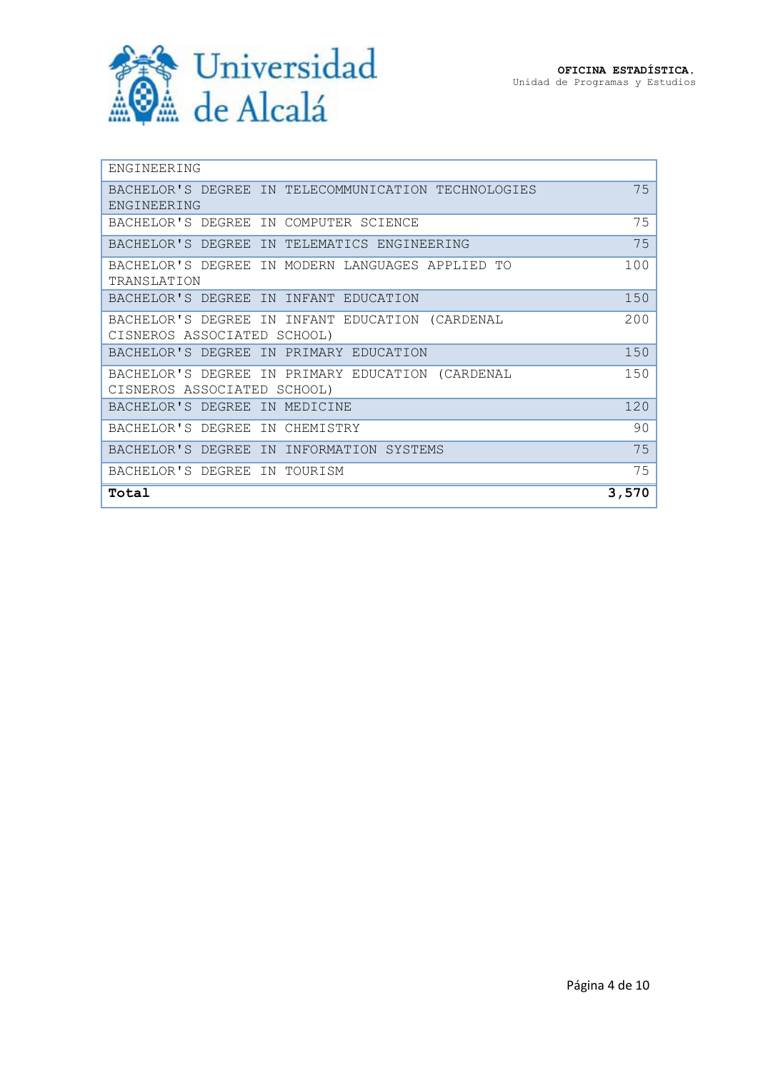

| ENGINEERING                                         |       |
|-----------------------------------------------------|-------|
| BACHELOR'S DEGREE IN TELECOMMUNICATION TECHNOLOGIES | 75    |
| ENGINEERING                                         |       |
| BACHELOR'S DEGREE IN COMPUTER SCIENCE               | 75    |
| BACHELOR'S DEGREE IN TELEMATICS ENGINEERING         | 75    |
| BACHELOR'S DEGREE IN MODERN LANGUAGES APPLIED TO    | 100   |
| TRANSLATION                                         |       |
| BACHELOR'S DEGREE IN INFANT EDUCATION               | 150   |
| BACHELOR'S DEGREE IN INFANT EDUCATION (CARDENAL     | 200   |
| CISNEROS ASSOCIATED SCHOOL)                         |       |
| BACHELOR'S DEGREE<br>IN PRIMARY EDUCATION           | 150   |
| BACHELOR'S DEGREE IN PRIMARY EDUCATION (CARDENAL    | 150   |
| CISNEROS ASSOCIATED SCHOOL)                         |       |
| BACHELOR'S DEGREE<br>IN MEDICINE                    | 120   |
| BACHELOR'S DEGREE IN CHEMISTRY                      | 90    |
| BACHELOR'S DEGREE IN INFORMATION SYSTEMS            | 75    |
| BACHELOR'S DEGREE IN TOURISM                        | 75    |
| Total                                               | 3,570 |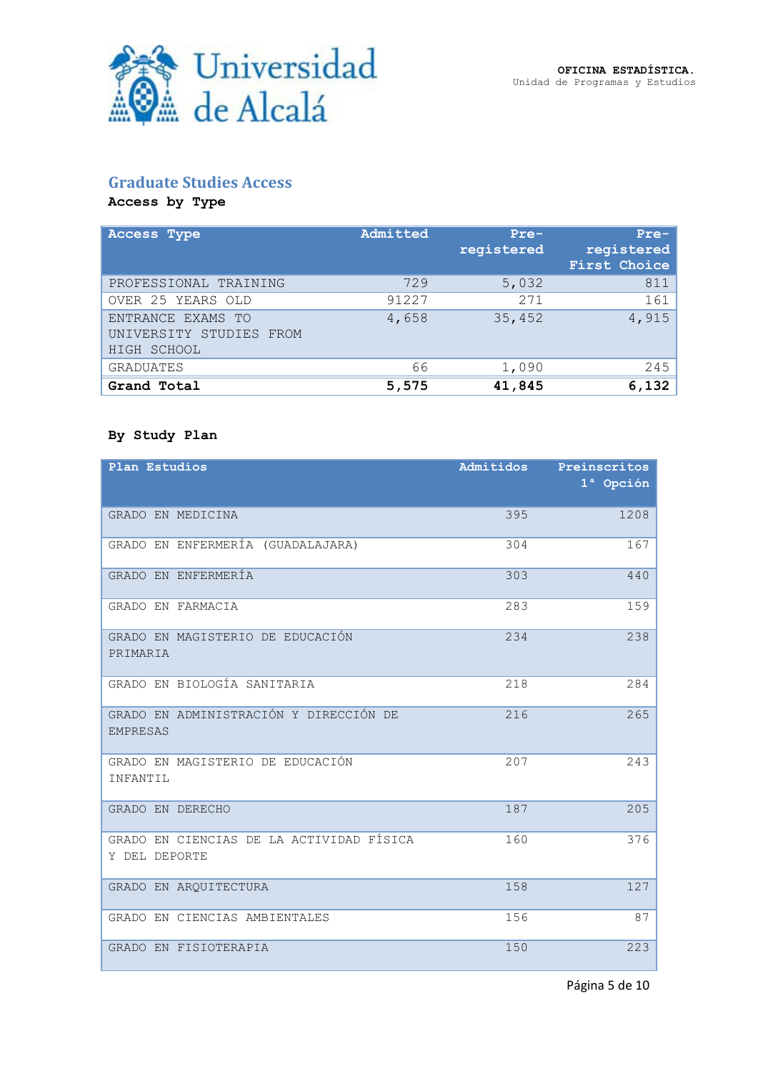## **Graduate Studies Access**

**Access by Type**

| <b>Access Type</b>                                          | Admitted | $Pre-$<br>registered | $Pre-$<br>registered<br>First Choice |
|-------------------------------------------------------------|----------|----------------------|--------------------------------------|
| PROFESSIONAL TRAINING                                       | 729      | 5,032                | 811                                  |
| OVER 25 YEARS OLD                                           | 91227    | 271                  | 161                                  |
| ENTRANCE EXAMS TO<br>UNIVERSITY STUDIES FROM<br>HIGH SCHOOL | 4,658    | 35,452               | 4,915                                |
| <b>GRADUATES</b>                                            | 66       | 1,090                | 245                                  |
| Grand Total                                                 | 5,575    | 41,845               | 6,132                                |

#### **By Study Plan**

| Plan Estudios                                             | Admitidos | Preinscritos<br>1 <sup>ª</sup> Opción |
|-----------------------------------------------------------|-----------|---------------------------------------|
| GRADO EN MEDICINA                                         | 395       | 1208                                  |
| GRADO EN ENFERMERÍA (GUADALAJARA)                         | 304       | 167                                   |
| GRADO EN ENFERMERÍA                                       | 303       | 440                                   |
| GRADO EN FARMACIA                                         | 283       | 159                                   |
| GRADO EN MAGISTERIO DE EDUCACIÓN<br>PRIMARIA              | 234       | 238                                   |
| GRADO EN BIOLOGÍA SANITARIA                               | 218       | 284                                   |
| GRADO EN ADMINISTRACIÓN Y DIRECCIÓN DE<br><b>EMPRESAS</b> | 216       | 265                                   |
| GRADO EN MAGISTERIO DE EDUCACIÓN<br>INFANTIL              | 207       | 243                                   |
| GRADO EN DERECHO                                          | 187       | 205                                   |
| GRADO EN CIENCIAS DE LA ACTIVIDAD FÍSICA<br>Y DEL DEPORTE | 160       | 376                                   |
| GRADO EN AROUITECTURA                                     | 158       | 127                                   |
| GRADO EN CIENCIAS AMBIENTALES                             | 156       | 87                                    |
| GRADO EN FISIOTERAPIA                                     | 150       | 223                                   |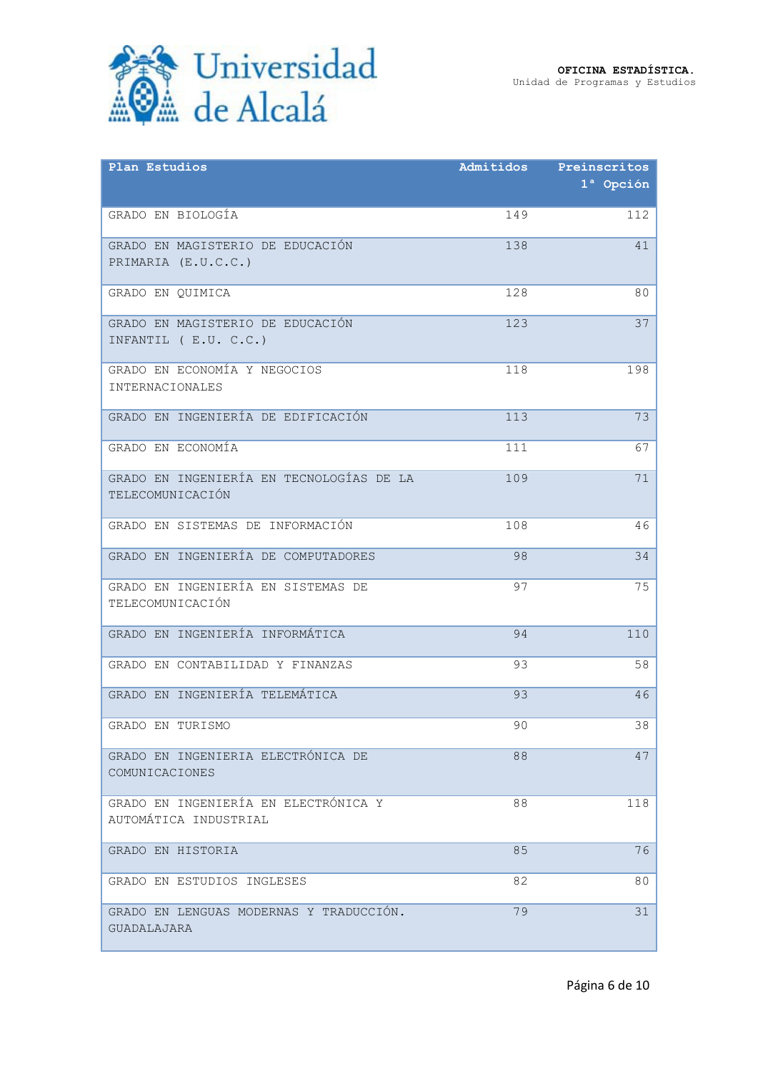

| Plan Estudios                                                 | Admitidos | Preinscritos |
|---------------------------------------------------------------|-----------|--------------|
|                                                               |           | $1a$ Opción  |
| GRADO EN BIOLOGÍA                                             | 149       | 112          |
| GRADO EN MAGISTERIO DE EDUCACIÓN                              | 138       | 41           |
| PRIMARIA (E.U.C.C.)                                           |           |              |
| GRADO EN OUIMICA                                              | 128       | 80           |
| GRADO EN MAGISTERIO DE EDUCACIÓN                              | 123       | 37           |
| INFANTIL (E.U. C.C.)                                          |           |              |
| GRADO EN ECONOMÍA Y NEGOCIOS<br><b>INTERNACIONALES</b>        | 118       | 198          |
|                                                               |           |              |
| GRADO EN INGENIERÍA DE EDIFICACIÓN                            | 113       | 73           |
| GRADO EN ECONOMÍA                                             | 111       | 67           |
| GRADO EN INGENIERÍA EN TECNOLOGÍAS DE LA                      | 109       | 71           |
| TELECOMUNICACIÓN                                              |           |              |
| GRADO EN SISTEMAS DE INFORMACIÓN                              | 108       | 46           |
| GRADO EN INGENIERÍA DE COMPUTADORES                           | 98        | 34           |
| GRADO EN INGENIERÍA EN SISTEMAS DE                            | 97        | 75           |
| TELECOMUNICACIÓN                                              |           |              |
| GRADO EN INGENIERÍA INFORMÁTICA                               | 94        | 110          |
| GRADO EN CONTABILIDAD Y FINANZAS                              | 93        | 58           |
| GRADO EN INGENIERÍA TELEMÁTICA                                | 93        | 46           |
| GRADO EN TURISMO                                              | 90        | 38           |
| GRADO EN INGENIERIA ELECTRÓNICA DE                            | 88        | 47           |
| COMUNICACIONES                                                |           |              |
| GRADO EN INGENIERÍA EN ELECTRÓNICA Y<br>AUTOMÁTICA INDUSTRIAL | 88        | 118          |
|                                                               |           |              |
| GRADO EN HISTORIA                                             | 85        | 76           |
| GRADO EN ESTUDIOS INGLESES                                    | 82        | 80           |
| GRADO EN LENGUAS MODERNAS Y TRADUCCIÓN.                       | 79        | 31           |
| GUADALAJARA                                                   |           |              |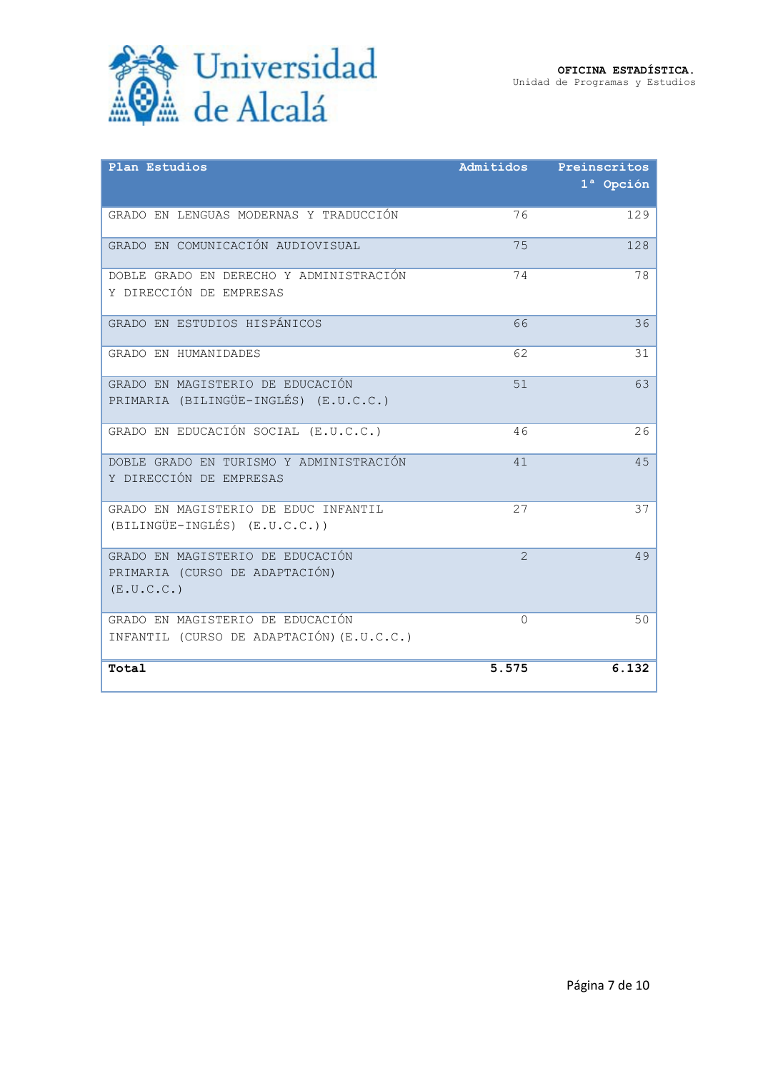

| Plan Estudios                                                                    | Admitidos      | Preinscritos<br>1 <sup>ª</sup> Opción |
|----------------------------------------------------------------------------------|----------------|---------------------------------------|
| GRADO EN LENGUAS MODERNAS Y TRADUCCIÓN                                           | 76             | 129                                   |
| GRADO EN COMUNICACIÓN AUDIOVISUAL                                                | 75             | 128                                   |
| DOBLE GRADO EN DERECHO Y ADMINISTRACIÓN<br>Y DIRECCIÓN DE EMPRESAS               | 74             | 78                                    |
| GRADO EN ESTUDIOS HISPÁNICOS                                                     | 66             | 36                                    |
| GRADO EN HUMANIDADES                                                             | 62             | 31                                    |
| GRADO EN MAGISTERIO DE EDUCACIÓN<br>PRIMARIA (BILINGÜE-INGLÉS) (E.U.C.C.)        | 51             | 63                                    |
| GRADO EN EDUCACIÓN SOCIAL (E.U.C.C.)                                             | 46             | 26                                    |
| DOBLE GRADO EN TURISMO Y ADMINISTRACIÓN<br>Y DIRECCIÓN DE EMPRESAS               | 41             | 45                                    |
| GRADO EN MAGISTERIO DE EDUC INFANTIL<br>(BILINGÜE-INGLÉS) (E.U.C.C.))            | 27             | 37                                    |
| GRADO EN MAGISTERIO DE EDUCACIÓN<br>PRIMARIA (CURSO DE ADAPTACIÓN)<br>(E.U.C.C.) | $\overline{2}$ | 49                                    |
| GRADO EN MAGISTERIO DE EDUCACIÓN<br>INFANTIL (CURSO DE ADAPTACIÓN) (E.U.C.C.)    | $\Omega$       | 50                                    |
| Total                                                                            | 5.575          | 6.132                                 |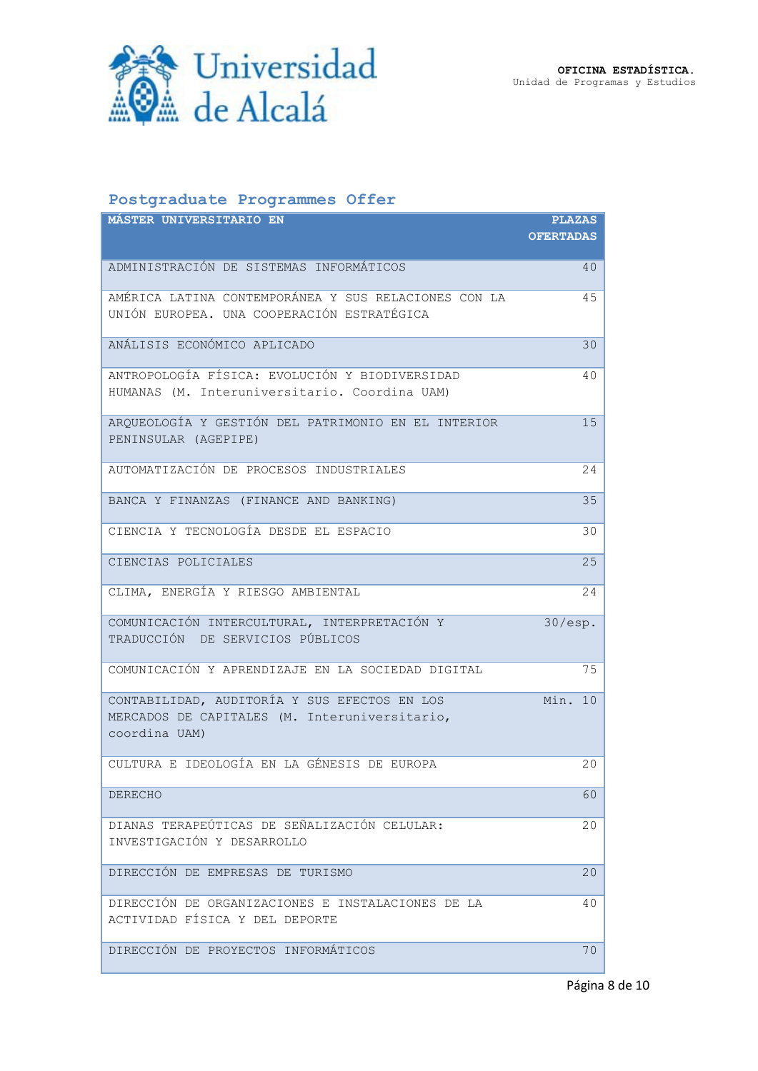

## **Postgraduate Programmes Offer**

| <b>MASTER UNIVERSITARIO EN</b>                                                                                 | <b>PLAZAS</b>    |
|----------------------------------------------------------------------------------------------------------------|------------------|
|                                                                                                                | <b>OFERTADAS</b> |
| ADMINISTRACIÓN DE SISTEMAS INFORMÁTICOS                                                                        | 40               |
| AMÉRICA LATINA CONTEMPORÁNEA Y SUS RELACIONES CON LA<br>UNIÓN EUROPEA. UNA COOPERACIÓN ESTRATÉGICA             | 45               |
| ANÁLISIS ECONÓMICO APLICADO                                                                                    | 30               |
| ANTROPOLOGÍA FÍSICA: EVOLUCIÓN Y BIODIVERSIDAD<br>HUMANAS (M. Interuniversitario. Coordina UAM)                | 40               |
| ARQUEOLOGÍA Y GESTIÓN DEL PATRIMONIO EN EL INTERIOR<br>PENINSULAR (AGEPIPE)                                    | 15               |
| AUTOMATIZACIÓN DE PROCESOS INDUSTRIALES                                                                        | 24               |
| BANCA Y FINANZAS (FINANCE AND BANKING)                                                                         | 35               |
| CIENCIA Y TECNOLOGÍA DESDE EL ESPACIO                                                                          | 30               |
| CIENCIAS POLICIALES                                                                                            | 25               |
| CLIMA, ENERGÍA Y RIESGO AMBIENTAL                                                                              | 24               |
| COMUNICACIÓN INTERCULTURAL, INTERPRETACIÓN Y<br>TRADUCCIÓN DE SERVICIOS PÚBLICOS                               | $30/\text{esp.}$ |
| COMUNICACIÓN Y APRENDIZAJE EN LA SOCIEDAD DIGITAL                                                              | 75               |
| CONTABILIDAD, AUDITORÍA Y SUS EFECTOS EN LOS<br>MERCADOS DE CAPITALES (M. Interuniversitario,<br>coordina UAM) | Min. 10          |
| CULTURA E IDEOLOGÍA EN LA GÉNESIS DE EUROPA                                                                    | 20               |
| DERECHO                                                                                                        | 60               |
| DIANAS TERAPEÚTICAS DE SEÑALIZACIÓN CELULAR:<br>INVESTIGACIÓN Y DESARROLLO                                     | 20               |
| DIRECCIÓN DE EMPRESAS DE TURISMO                                                                               | 20               |
| DIRECCIÓN DE ORGANIZACIONES E INSTALACIONES DE LA<br>ACTIVIDAD FÍSICA Y DEL DEPORTE                            | 40               |
| DIRECCIÓN DE PROYECTOS INFORMÁTICOS                                                                            | 70               |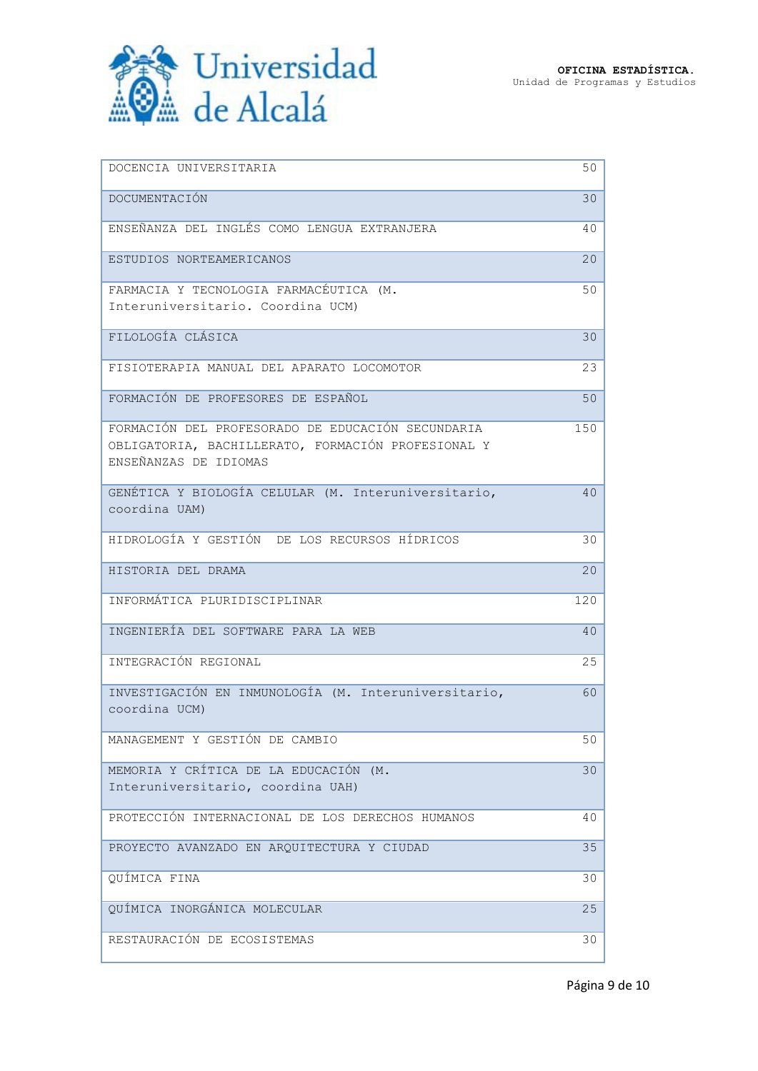

| DOCENCIA UNIVERSITARIA                                                                                  | 50  |
|---------------------------------------------------------------------------------------------------------|-----|
| DOCUMENTACIÓN                                                                                           | 30  |
| ENSEÑANZA DEL INGLÉS COMO LENGUA EXTRANJERA                                                             | 40  |
| ESTUDIOS NORTEAMERICANOS                                                                                | 20  |
| FARMACIA Y TECNOLOGIA FARMACÉUTICA (M.                                                                  | 50  |
| Interuniversitario. Coordina UCM)                                                                       |     |
| FILOLOGÍA CLÁSICA                                                                                       | 30  |
| FISIOTERAPIA MANUAL DEL APARATO LOCOMOTOR                                                               | 23  |
| FORMACIÓN DE PROFESORES DE ESPAÑOL                                                                      | 50  |
| FORMACIÓN DEL PROFESORADO DE EDUCACIÓN SECUNDARIA<br>OBLIGATORIA, BACHILLERATO, FORMACIÓN PROFESIONAL Y | 150 |
| ENSEÑANZAS DE IDIOMAS                                                                                   |     |
| GENÉTICA Y BIOLOGÍA CELULAR (M. Interuniversitario,<br>coordina UAM)                                    | 40  |
| HIDROLOGÍA Y GESTIÓN DE LOS RECURSOS HÍDRICOS                                                           | 30  |
| HISTORIA DEL DRAMA                                                                                      | 20  |
| INFORMÁTICA PLURIDISCIPLINAR                                                                            | 120 |
| INGENIERÍA DEL SOFTWARE PARA LA WEB                                                                     | 40  |
| INTEGRACIÓN REGIONAL                                                                                    | 25  |
| INVESTIGACIÓN EN INMUNOLOGÍA (M. Interuniversitario,<br>coordina UCM)                                   | 60  |
| MANAGEMENT Y GESTIÓN DE CAMBIO                                                                          | 50  |
| MEMORIA Y CRÍTICA DE LA EDUCACIÓN (M.<br>Interuniversitario, coordina UAH)                              | 30  |
| PROTECCIÓN INTERNACIONAL DE LOS DERECHOS HUMANOS                                                        | 40  |
| PROYECTO AVANZADO EN ARQUITECTURA Y CIUDAD                                                              | 35  |
| QUÍMICA FINA                                                                                            | 30  |
| QUÍMICA INORGÁNICA MOLECULAR                                                                            | 25  |
| RESTAURACIÓN DE ECOSISTEMAS                                                                             | 30  |